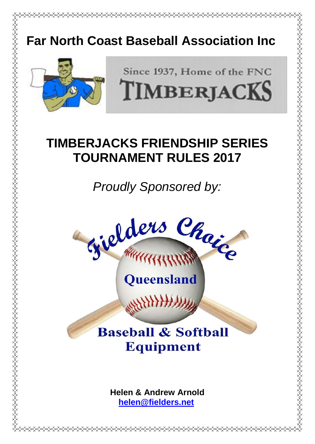# **Far North Coast Baseball Association Inc**



Since 1937, Home of the FNC TIMBERJACKS # **TIMBERJACKS FRIENDSHIP SERIES TOURNAMENT RULES 2017**

*Proudly Sponsored by:*



# **Baseball & Softball Equipment**

**Helen & Andrew Arnold [helen@fielders.net](mailto:helen@fielders.net)**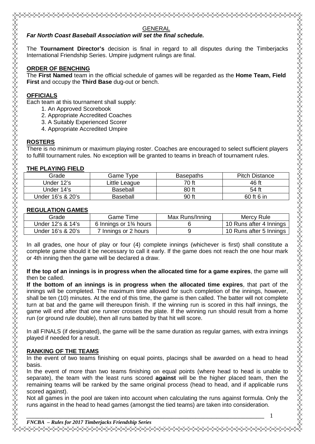#### GENERAL *Far North Coast Baseball Association will set the final schedule.*

The **Tournament Director's** decision is final in regard to all disputes during the Timberjacks International Friendship Series. Umpire judgment rulings are final.

# **ORDER OF BENCHING**

The **First Named** team in the official schedule of games will be regarded as the **Home Team, Field First** and occupy the **Third Base** dug-out or bench.

# **OFFICIALS**

Each team at this tournament shall supply:

- 1. An Approved Scorebook
- 2. Appropriate Accredited Coaches
- 3. A Suitably Experienced Scorer
- 4. Appropriate Accredited Umpire

# **ROSTERS**

There is no minimum or maximum playing roster. Coaches are encouraged to select sufficient players to fulfill tournament rules. No exception will be granted to teams in breach of tournament rules.

# **THE PLAYING FIELD**

| Grade             | Game Type     | <b>Basepaths</b> | <b>Pitch Distance</b> |
|-------------------|---------------|------------------|-----------------------|
| Under 12's        | Little League | 70 ft            | 46 ft                 |
| Under 14's        | Baseball      | 80 ft            | 54 ft                 |
| Under 16's & 20's | Baseball      | 90 ft            | 60 ft 6 in            |
|                   |               |                  |                       |

## **REGULATION GAMES**

| Grade             | Game Time                | Max Runs/Inning | Mercy Rule              |
|-------------------|--------------------------|-----------------|-------------------------|
| Under 12's & 14's | 6 Innings or $1\%$ hours |                 | 10 Runs after 4 Innings |
| Under 16's & 20's | 7 Innings or 2 hours     |                 | 10 Runs after 5 Innings |
|                   |                          |                 |                         |

In all grades, one hour of play or four (4) complete innings (whichever is first) shall constitute a complete game should it be necessary to call it early. If the game does not reach the one hour mark or 4th inning then the game will be declared a draw.

**If the top of an innings is in progress when the allocated time for a game expires**, the game will then be called.

**If the bottom of an innings is in progress when the allocated time expires**, that part of the innings will be completed. The maximum time allowed for such completion of the innings, however, shall be ten (10) minutes. At the end of this time, the game is then called. The batter will not complete turn at bat and the game will thereupon finish. If the winning run is scored in this half innings, the game will end after that one runner crosses the plate. If the winning run should result from a home run (or ground rule double), then all runs batted by that hit will score.

In all FINALS (if designated), the game will be the same duration as regular games, with extra innings played if needed for a result.

# **RANKING OF THE TEAMS**

In the event of two teams finishing on equal points, placings shall be awarded on a head to head basis.

In the event of more than two teams finishing on equal points (where head to head is unable to separate), the team with the least runs scored **against** will be the higher placed team, then the remaining teams will be ranked by the same original process (head to head, and if applicable runs scored against).

Not all games in the pool are taken into account when calculating the runs against formula. Only the runs against in the head to head games (amongst the tied teams) are taken into consideration.

*FNCBA – Rules for 2017 Timberjacks Friendship Series* <sub></sup></sup></sub>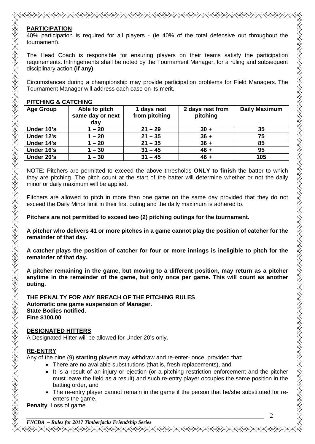#### **PARTICIPATION**

40% participation is required for all players - (ie 40% of the total defensive out throughout the tournament).

The Head Coach is responsible for ensuring players on their teams satisfy the participation requirements. Infringements shall be noted by the Tournament Manager, for a ruling and subsequent disciplinary action **(if any)**.

Circumstances during a championship may provide participation problems for Field Managers. The Tournament Manager will address each case on its merit.

#### **PITCHING & CATCHING**

| <b>Age Group</b> | Able to pitch<br>same day or next<br>day | 1 days rest<br>from pitching | 2 days rest from<br>pitching | <b>Daily Maximum</b> |
|------------------|------------------------------------------|------------------------------|------------------------------|----------------------|
| Under 10's       | $1 - 20$                                 | $21 - 29$                    | $30 +$                       | 35                   |
| Under 12's       | $1 - 20$                                 | $21 - 35$                    | $36 +$                       | 75                   |
| Under 14's       | $1 - 20$                                 | $21 - 35$                    | $36 +$                       | 85                   |
| Under 16's       | $1 - 30$                                 | $31 - 45$                    | $46 +$                       | 95                   |
| Under 20's       | $1 - 30$                                 | $31 - 45$                    | $46 +$                       | 105                  |

NOTE: Pitchers are permitted to exceed the above thresholds **ONLY to finish** the batter to which they are pitching. The pitch count at the start of the batter will determine whether or not the daily minor or daily maximum will be applied.

Pitchers are allowed to pitch in more than one game on the same day provided that they do not exceed the Daily Minor limit in their first outing and the daily maximum is adhered to.

**Pitchers are not permitted to exceed two (2) pitching outings for the tournament.**

**A pitcher who delivers 41 or more pitches in a game cannot play the position of catcher for the remainder of that day.**

**A catcher plays the position of catcher for four or more innings is ineligible to pitch for the remainder of that day.**

**A pitcher remaining in the game, but moving to a different position, may return as a pitcher anytime in the remainder of the game, but only once per game. This will count as another outing.**

**THE PENALTY FOR ANY BREACH OF THE PITCHING RULES Automatic one game suspension of Manager. State Bodies notified. Fine \$100.00**

#### **DESIGNATED HITTERS**

A Designated Hitter will be allowed for Under 20's only.

#### **RE-ENTRY**

Any of the nine (9) **starting** players may withdraw and re-enter- once, provided that:

- There are no available substitutions (that is, fresh replacements), and
- It is a result of an injury or ejection (or a pitching restriction enforcement and the pitcher must leave the field as a result) and such re-entry player occupies the same position in the batting order, and
- The re-entry player cannot remain in the game if the person that he/she substituted for reenters the game.

**Penalty**: Loss of game.

*FNCBA – Rules for 2017 Timberjacks Friendship Series* <sub></sup></sup></sub>

*\_\_\_\_\_\_\_\_\_\_\_\_\_\_\_\_\_\_\_\_\_\_\_\_\_\_\_\_\_\_\_\_\_\_\_\_\_\_\_\_\_\_\_\_\_\_\_\_\_\_\_\_\_\_\_\_\_\_\_\_\_\_\_\_\_\_\_\_\_\_\_\_\_\_\_\_\_\_\_\_\_\_\_\_\_\_\_\_\_\_* 2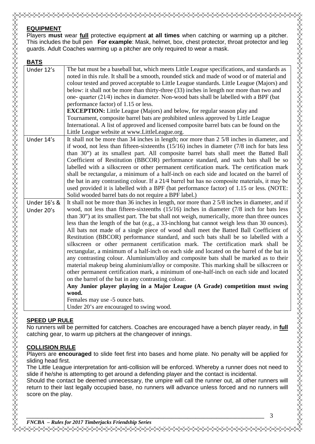#### **EQUIPMENT**

Players **must** wear **full** protective equipment **at all times** when catching or warming up a pitcher. This includes the bull pen **For example**: Mask, helmet, box, chest protector, throat protector and leg guards. Adult Coaches warming up a pitcher are only required to wear a mask.

| <u>BATS</u>                |                                                                                                                                                                                                                                                                                                                                                                                                                                                                                                                                                                                                                                                                                                                                                                                                                                                                                                                                                                                                                                                                                                                                                                                                                                                                                 |
|----------------------------|---------------------------------------------------------------------------------------------------------------------------------------------------------------------------------------------------------------------------------------------------------------------------------------------------------------------------------------------------------------------------------------------------------------------------------------------------------------------------------------------------------------------------------------------------------------------------------------------------------------------------------------------------------------------------------------------------------------------------------------------------------------------------------------------------------------------------------------------------------------------------------------------------------------------------------------------------------------------------------------------------------------------------------------------------------------------------------------------------------------------------------------------------------------------------------------------------------------------------------------------------------------------------------|
| Under 12's                 | The bat must be a baseball bat, which meets Little League specifications, and standards as<br>noted in this rule. It shall be a smooth, rounded stick and made of wood or of material and<br>colour tested and proved acceptable to Little League standards. Little League (Majors) and<br>below: it shall not be more than thirty-three (33) inches in length nor more than two and<br>one- quarter $(21/4)$ inches in diameter. Non-wood bats shall be labelled with a BPF (bat<br>performance factor) of 1.15 or less.<br><b>EXCEPTION:</b> Little League (Majors) and below, for regular season play and<br>Tournament, composite barrel bats are prohibited unless approved by Little League<br>International. A list of approved and licensed composite barrel bats can be found on the<br>Little League website at www.LittleLeague.org.                                                                                                                                                                                                                                                                                                                                                                                                                                 |
| Under 14's                 | It shall not be more than 34 inches in length; nor more than 2 5/8 inches in diameter, and<br>if wood, not less than fifteen-sixteenths $(15/16)$ inches in diameter $(7/8)$ inch for bats less<br>than 30") at its smallest part. All composite barrel bats shall meet the Batted Ball<br>Coefficient of Restitution (BBCOR) performance standard, and such bats shall be so<br>labelled with a silkscreen or other permanent certification mark. The certification mark<br>shall be rectangular, a minimum of a half-inch on each side and located on the barrel of<br>the bat in any contrasting colour. If a 21/4 barrel bat has no composite materials, it may be<br>used provided it is labelled with a BPF (bat performance factor) of 1.15 or less. (NOTE:<br>Solid wooded barrel bats do not require a BPF label.)                                                                                                                                                                                                                                                                                                                                                                                                                                                     |
| Under 16's &<br>Under 20's | It shall not be more than 36 inches in length, nor more than 2 5/8 inches in diameter, and if<br>wood, not less than fifteen-sixteenths $(15/16)$ inches in diameter $(7/8)$ inch for bats less<br>than 30") at its smallest part. The bat shall not weigh, numerically, more than three ounces<br>less than the length of the bat (e.g., a 33-inchlong bat cannot weigh less than 30 ounces).<br>All bats not made of a single piece of wood shall meet the Batted Ball Coefficient of<br>Restitution (BBCOR) performance standard, and such bats shall be so labelled with a<br>silkscreen or other permanent certification mark. The certification mark shall be<br>rectangular, a minimum of a half-inch on each side and located on the barrel of the bat in<br>any contrasting colour. Aluminium/alloy and composite bats shall be marked as to their<br>material makeup being aluminium/alloy or composite. This marking shall be silkscreen or<br>other permanent certification mark, a minimum of one-half-inch on each side and located<br>on the barrel of the bat in any contrasting colour.<br>Any Junior player playing in a Major League (A Grade) competition must swing<br>wood.<br>Females may use -5 ounce bats.<br>Under 20's are encouraged to swing wood. |

#### **SPEED UP RULE**

No runners will be permitted for catchers. Coaches are encouraged have a bench player ready, in **full** catching gear, to warm up pitchers at the changeover of innings.

#### **COLLISION RULE**

Players are **encouraged** to slide feet first into bases and home plate. No penalty will be applied for sliding head first.

The Little League interpretation for anti-collision will be enforced. Whereby a runner does not need to slide if he/she is attempting to get around a defending player and the contact is incidental.

Should the contact be deemed unnecessary, the umpire will call the runner out, all other runners will return to their last legally occupied base, no runners will advance unless forced and no runners will score on the play.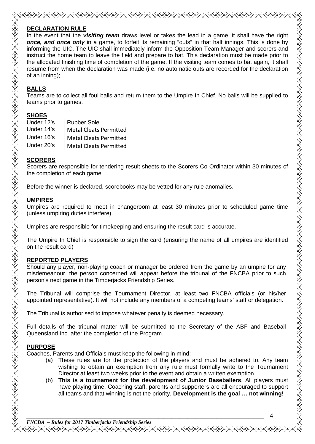# **DECLARATION RULE**

In the event that the *visiting team* draws level or takes the lead in a game, it shall have the right *once, and once only* in a game, to forfeit its remaining "outs" in that half innings. This is done by informing the UIC. The UIC shall immediately inform the Opposition Team Manager and scorers and instruct the home team to leave the field and prepare to bat. This declaration must be made prior to the allocated finishing time of completion of the game. If the visiting team comes to bat again, it shall resume from when the declaration was made (i.e. no automatic outs are recorded for the declaration of an inning);

# **BALLS**

Teams are to collect all foul balls and return them to the Umpire In Chief. No balls will be supplied to teams prior to games.

#### **SHOES**

| Under 12's | <b>Rubber Sole</b>            |
|------------|-------------------------------|
| Under 14's | <b>Metal Cleats Permitted</b> |
| Under 16's | <b>Metal Cleats Permitted</b> |
| Under 20's | <b>Metal Cleats Permitted</b> |
|            |                               |

### **SCORERS**

Scorers are responsible for tendering result sheets to the Scorers Co-Ordinator within 30 minutes of the completion of each game.

Before the winner is declared, scorebooks may be vetted for any rule anomalies.

## **UMPIRES**

Umpires are required to meet in changeroom at least 30 minutes prior to scheduled game time (unless umpiring duties interfere).

Umpires are responsible for timekeeping and ensuring the result card is accurate.

The Umpire In Chief is responsible to sign the card (ensuring the name of all umpires are identified on the result card)

# **REPORTED PLAYERS**

Should any player, non-playing coach or manager be ordered from the game by an umpire for any misdemeanour, the person concerned will appear before the tribunal of the FNCBA prior to such person's next game in the Timberjacks Friendship Series.

The Tribunal will comprise the Tournament Director, at least two FNCBA officials (or his/her appointed representative). It will not include any members of a competing teams' staff or delegation.

The Tribunal is authorised to impose whatever penalty is deemed necessary.

Full details of the tribunal matter will be submitted to the Secretary of the ABF and Baseball Queensland Inc. after the completion of the Program.

# **PURPOSE**

Coaches, Parents and Officials must keep the following in mind:

- (a) These rules are for the protection of the players and must be adhered to. Any team wishing to obtain an exemption from any rule must formally write to the Tournament Director at least two weeks prior to the event and obtain a written exemption.
- (b) **This is a tournament for the development of Junior Baseballers**. All players must have playing time. Coaching staff, parents and supporters are all encouraged to support all teams and that winning is not the priority. **Development is the goal … not winning!**